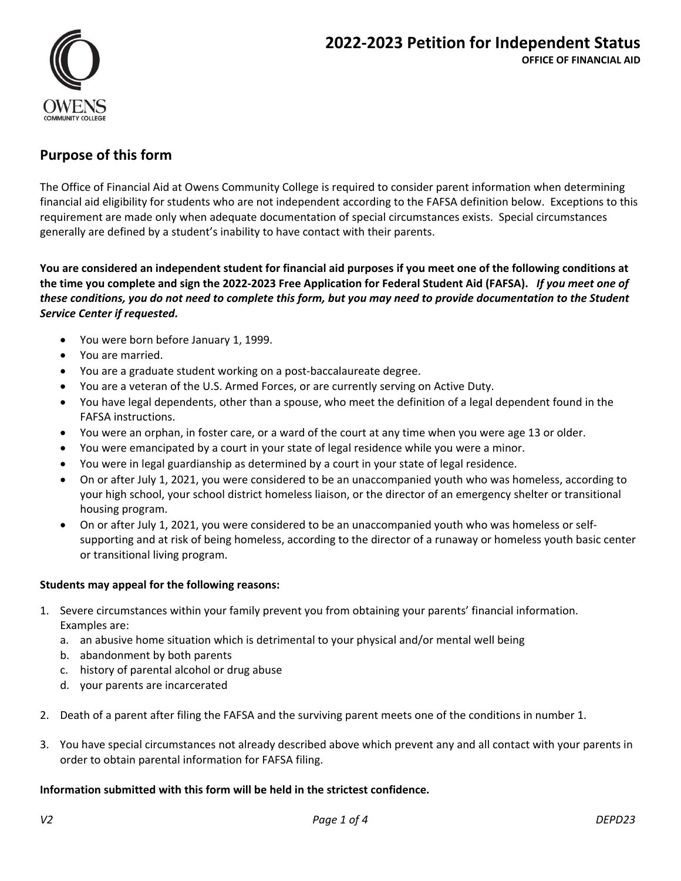

# **Purpose of this form**

The Office of Financial Aid at Owens Community College is required to consider parent information when determining financial aid eligibility for students who are not independent according to the FAFSA definition below. Exceptions to this requirement are made only when adequate documentation of special circumstances exists. Special circumstances generally are defined by a student's inability to have contact with their parents.

**You are considered an independent student for financial aid purposes if you meet one of the following conditions at the time you complete and sign the 2022‐2023 Free Application for Federal Student Aid (FAFSA).** *If you meet one of these conditions, you do not need to complete this form, but you may need to provide documentation to the Student Service Center if requested.*

- You were born before January 1, 1999.
- You are married.
- You are a graduate student working on a post‐baccalaureate degree.
- You are a veteran of the U.S. Armed Forces, or are currently serving on Active Duty.
- You have legal dependents, other than a spouse, who meet the definition of a legal dependent found in the FAFSA instructions.
- You were an orphan, in foster care, or a ward of the court at any time when you were age 13 or older.
- You were emancipated by a court in your state of legal residence while you were a minor.
- You were in legal guardianship as determined by a court in your state of legal residence.
- On or after July 1, 2021, you were considered to be an unaccompanied youth who was homeless, according to your high school, your school district homeless liaison, or the director of an emergency shelter or transitional housing program.
- On or after July 1, 2021, you were considered to be an unaccompanied youth who was homeless or self‐ supporting and at risk of being homeless, according to the director of a runaway or homeless youth basic center or transitional living program.

#### **Students may appeal for the following reasons:**

- 1. Severe circumstances within your family prevent you from obtaining your parents' financial information. Examples are:
	- a. an abusive home situation which is detrimental to your physical and/or mental well being
	- b. abandonment by both parents
	- c. history of parental alcohol or drug abuse
	- d. your parents are incarcerated
- 2. Death of a parent after filing the FAFSA and the surviving parent meets one of the conditions in number 1.
- 3. You have special circumstances not already described above which prevent any and all contact with your parents in order to obtain parental information for FAFSA filing.

#### **Information submitted with this form will be held in the strictest confidence.**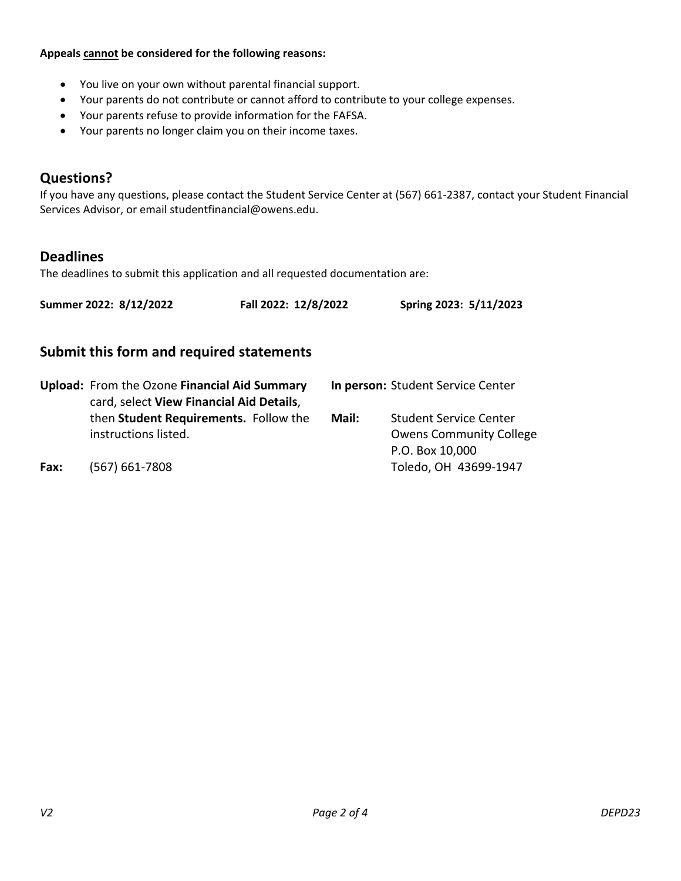**Appeals cannot be considered for the following reasons:** 

- You live on your own without parental financial support.
- Your parents do not contribute or cannot afford to contribute to your college expenses.
- Your parents refuse to provide information for the FAFSA.
- Your parents no longer claim you on their income taxes.

# **Questions?**

If you have any questions, please contact the Student Service Center at (567) 661‐2387, contact your Student Financial Services Advisor, or email studentfinancial@owens.edu.

### **Deadlines**

The deadlines to submit this application and all requested documentation are:

| Summer 2022: 8/12/2022 | Fall 2022: 12/8/2022 | Spring 2023: 5/11/2023 |
|------------------------|----------------------|------------------------|
|                        |                      |                        |

# **Submit this form and required statements**

|      | Upload: From the Ozone Financial Aid Summary<br>card, select View Financial Aid Details, | In person: Student Service Center |                                                                                    |
|------|------------------------------------------------------------------------------------------|-----------------------------------|------------------------------------------------------------------------------------|
|      | then Student Requirements. Follow the<br>instructions listed.                            | Mail:                             | <b>Student Service Center</b><br><b>Owens Community College</b><br>P.O. Box 10,000 |
| Fax: | $(567) 661 - 7808$                                                                       |                                   | Toledo, OH 43699-1947                                                              |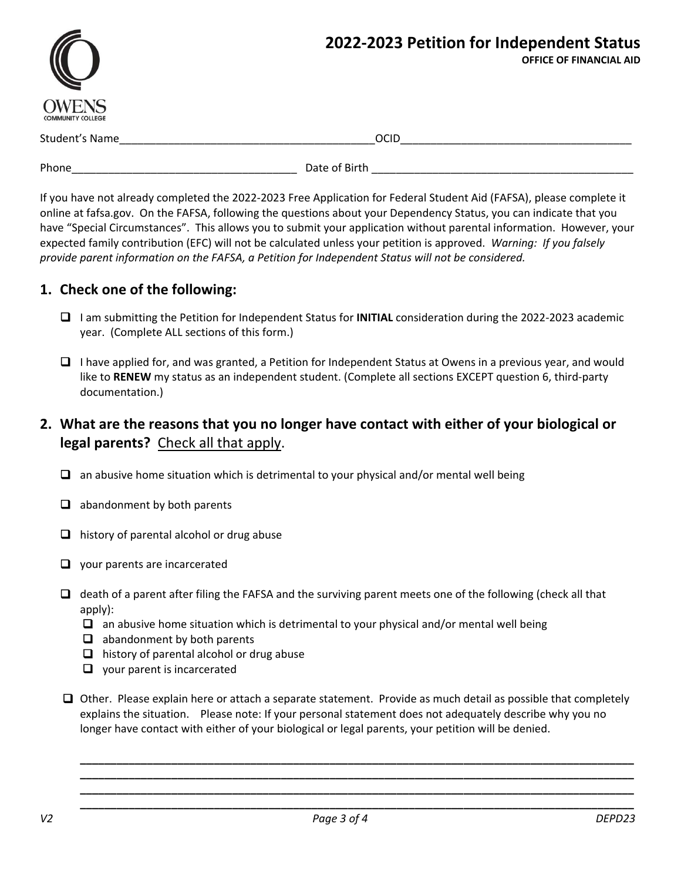|                                          | 2022-2023 Petition for Independent Status<br><b>OFFICE OF FINANCIAL AID</b> |  |
|------------------------------------------|-----------------------------------------------------------------------------|--|
| <b>OWENS</b><br><b>COMMUNITY COLLEGE</b> |                                                                             |  |
| Student's Name                           | <b>OCID</b>                                                                 |  |
| Phone                                    | Date of Birth                                                               |  |

If you have not already completed the 2022‐2023 Free Application for Federal Student Aid (FAFSA), please complete it online at fafsa.gov. On the FAFSA, following the questions about your Dependency Status, you can indicate that you have "Special Circumstances". This allows you to submit your application without parental information. However, your expected family contribution (EFC) will not be calculated unless your petition is approved. *Warning: If you falsely provide parent information on the FAFSA, a Petition for Independent Status will not be considered.*

# **1. Check one of the following:**

- I am submitting the Petition for Independent Status for **INITIAL** consideration during the 2022‐2023 academic year. (Complete ALL sections of this form.)
- $\Box$  I have applied for, and was granted, a Petition for Independent Status at Owens in a previous year, and would like to RENEW my status as an independent student. (Complete all sections EXCEPT question 6, third-party documentation.)

# **2. What are the reasons that you no longer have contact with either of your biological or**  legal parents? Check all that apply.

- $\Box$  an abusive home situation which is detrimental to your physical and/or mental well being
- $\Box$  abandonment by both parents
- $\Box$  history of parental alcohol or drug abuse
- $\Box$  your parents are incarcerated
- $\Box$  death of a parent after filing the FAFSA and the surviving parent meets one of the following (check all that apply):
	- $\Box$  an abusive home situation which is detrimental to your physical and/or mental well being
	- $\Box$  abandonment by both parents
	- $\Box$  history of parental alcohol or drug abuse
	- $\Box$  vour parent is incarcerated
- $\Box$  Other. Please explain here or attach a separate statement. Provide as much detail as possible that completely explains the situation. Please note: If your personal statement does not adequately describe why you no longer have contact with either of your biological or legal parents, your petition will be denied.

**\_\_\_\_\_\_\_\_\_\_\_\_\_\_\_\_\_\_\_\_\_\_\_\_\_\_\_\_\_\_\_\_\_\_\_\_\_\_\_\_\_\_\_\_\_\_\_\_\_\_\_\_\_\_\_\_\_\_\_\_\_\_\_\_\_\_\_\_\_\_\_\_\_\_\_\_\_\_\_\_\_\_\_\_\_\_\_\_\_\_\_ \_\_\_\_\_\_\_\_\_\_\_\_\_\_\_\_\_\_\_\_\_\_\_\_\_\_\_\_\_\_\_\_\_\_\_\_\_\_\_\_\_\_\_\_\_\_\_\_\_\_\_\_\_\_\_\_\_\_\_\_\_\_\_\_\_\_\_\_\_\_\_\_\_\_\_\_\_\_\_\_\_\_\_\_\_\_\_\_\_\_\_ \_\_\_\_\_\_\_\_\_\_\_\_\_\_\_\_\_\_\_\_\_\_\_\_\_\_\_\_\_\_\_\_\_\_\_\_\_\_\_\_\_\_\_\_\_\_\_\_\_\_\_\_\_\_\_\_\_\_\_\_\_\_\_\_\_\_\_\_\_\_\_\_\_\_\_\_\_\_\_\_\_\_\_\_\_\_\_\_\_\_\_ \_\_\_\_\_\_\_\_\_\_\_\_\_\_\_\_\_\_\_\_\_\_\_\_\_\_\_\_\_\_\_\_\_\_\_\_\_\_\_\_\_\_\_\_\_\_\_\_\_\_\_\_\_\_\_\_\_\_\_\_\_\_\_\_\_\_\_\_\_\_\_\_\_\_\_\_\_\_\_\_\_\_\_\_\_\_\_\_\_\_\_**